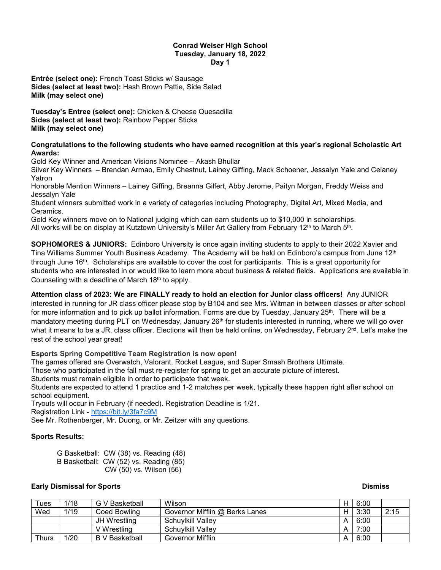#### **Conrad Weiser High School Tuesday, January 18, 2022 Day 1**

**Entrée (select one):** French Toast Sticks w/ Sausage **Sides (select at least two):** Hash Brown Pattie, Side Salad **Milk (may select one)**

**Tuesday's Entree (select one):** Chicken & Cheese Quesadilla **Sides (select at least two):** Rainbow Pepper Sticks **Milk (may select one)**

#### **Congratulations to the following students who have earned recognition at this year's regional Scholastic Art Awards:**

Gold Key Winner and American Visions Nominee – Akash Bhullar

Silver Key Winners – Brendan Armao, Emily Chestnut, Lainey Giffing, Mack Schoener, Jessalyn Yale and Celaney Yatron

Honorable Mention Winners – Lainey Giffing, Breanna Gilfert, Abby Jerome, Paityn Morgan, Freddy Weiss and Jessalyn Yale

Student winners submitted work in a variety of categories including Photography, Digital Art, Mixed Media, and Ceramics.

Gold Key winners move on to National judging which can earn students up to \$10,000 in scholarships. All works will be on display at Kutztown University's Miller Art Gallery from February 12<sup>th</sup> to March 5<sup>th</sup>.

**SOPHOMORES & JUNIORS:** Edinboro University is once again inviting students to apply to their 2022 Xavier and Tina Williams Summer Youth Business Academy. The Academy will be held on Edinboro's campus from June 12<sup>th</sup> through June 16th. Scholarships are available to cover the cost for participants. This is a great opportunity for students who are interested in or would like to learn more about business & related fields. Applications are available in Counseling with a deadline of March 18th to apply.

**Attention class of 2023: We are FINALLY ready to hold an election for Junior class officers!** Any JUNIOR interested in running for JR class officer please stop by B104 and see Mrs. Witman in between classes or after school for more information and to pick up ballot information. Forms are due by Tuesday, January 25<sup>th</sup>. There will be a mandatory meeting during PLT on Wednesday, January 26<sup>th</sup> for students interested in running, where we will go over what it means to be a JR, class officer. Elections will then be held online, on Wednesday, February  $2^{nd}$ . Let's make the rest of the school year great!

# **Esports Spring Competitive Team Registration is now open!**

The games offered are Overwatch, Valorant, Rocket League, and Super Smash Brothers Ultimate.

Those who participated in the fall must re-register for spring to get an accurate picture of interest.

Students must remain eligible in order to participate that week.

Students are expected to attend 1 practice and 1-2 matches per week, typically these happen right after school on school equipment.

Tryouts will occur in February (if needed). Registration Deadline is 1/21.

Registration Link - <https://bit.ly/3fa7c9M>

See Mr. Rothenberger, Mr. Duong, or Mr. Zeitzer with any questions.

# **Sports Results:**

G Basketball: CW (38) vs. Reading (48) B Basketball: CW (52) vs. Reading (85) CW (50) vs. Wilson (56)

# **Early Dismissal for Sports And The Second Second Second Second Second Second Second Second Second Second Second Second Second Second Second Second Second Second Second Second Second Second Second Second Second Second Seco**

| $\tau$ ues | 1/18 | G V Basketball        | Wilson                         | н | 6:00 |      |
|------------|------|-----------------------|--------------------------------|---|------|------|
| Wed        | 1/19 | Coed Bowling          | Governor Mifflin @ Berks Lanes | н | 3:30 | 2:15 |
|            |      | JH Wrestling          | Schuylkill Valley              |   | 6:00 |      |
|            |      | V Wrestling           | <b>Schuvikill Vallev</b>       |   | 7:00 |      |
| Thurs      | 1/20 | <b>B</b> V Basketball | Governor Mifflin               | A | 6:00 |      |